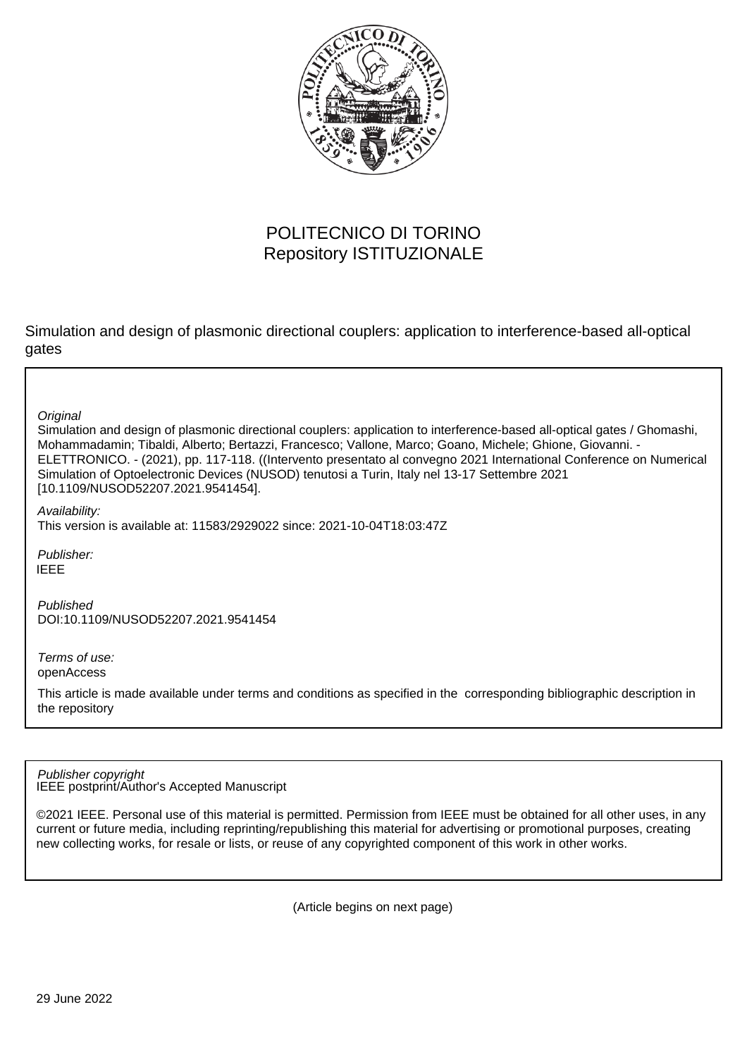

## POLITECNICO DI TORINO Repository ISTITUZIONALE

Simulation and design of plasmonic directional couplers: application to interference-based all-optical gates

**Original** 

Simulation and design of plasmonic directional couplers: application to interference-based all-optical gates / Ghomashi, Mohammadamin; Tibaldi, Alberto; Bertazzi, Francesco; Vallone, Marco; Goano, Michele; Ghione, Giovanni. - ELETTRONICO. - (2021), pp. 117-118. ((Intervento presentato al convegno 2021 International Conference on Numerical Simulation of Optoelectronic Devices (NUSOD) tenutosi a Turin, Italy nel 13-17 Settembre 2021 [10.1109/NUSOD52207.2021.9541454].

Availability:

This version is available at: 11583/2929022 since: 2021-10-04T18:03:47Z

Publisher: IEEE

Published DOI:10.1109/NUSOD52207.2021.9541454

Terms of use: openAccess

This article is made available under terms and conditions as specified in the corresponding bibliographic description in the repository

IEEE postprint/Author's Accepted Manuscript Publisher copyright

©2021 IEEE. Personal use of this material is permitted. Permission from IEEE must be obtained for all other uses, in any current or future media, including reprinting/republishing this material for advertising or promotional purposes, creating new collecting works, for resale or lists, or reuse of any copyrighted component of this work in other works.

(Article begins on next page)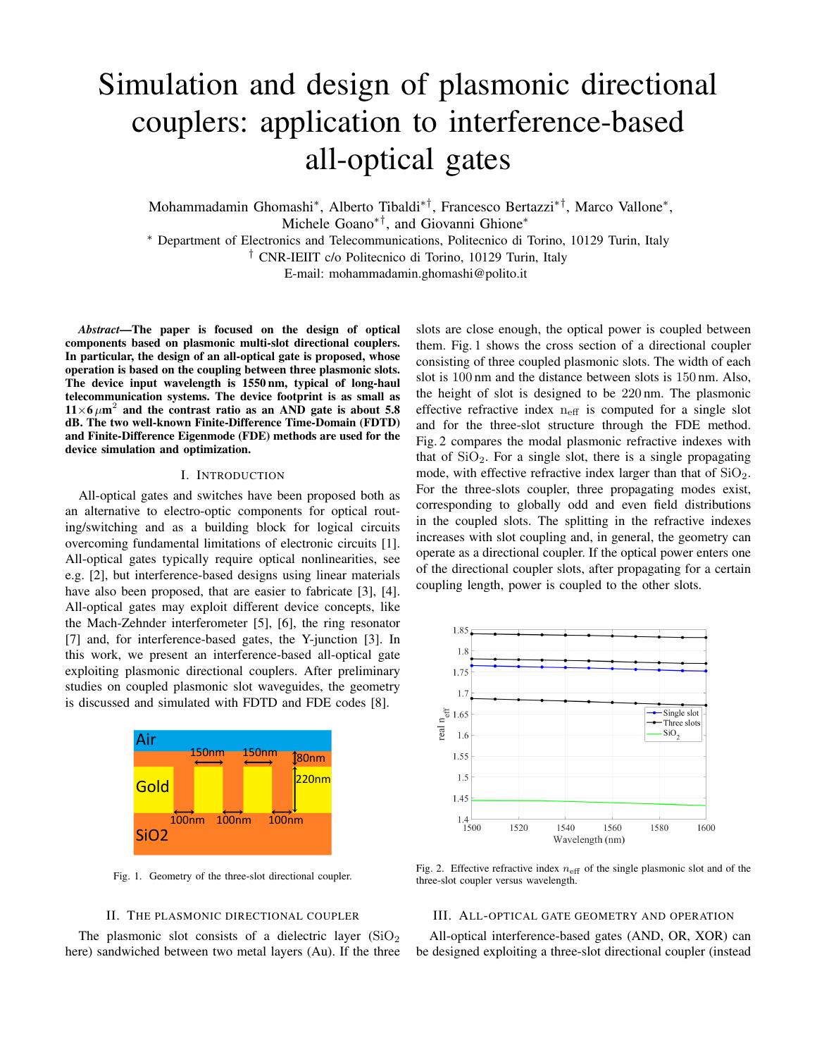# Simulation and design of plasmonic directional couplers: application to interference-based all-optical gates

Mohammadamin Ghomashi<sup>∗</sup> , Alberto Tibaldi∗†, Francesco Bertazzi∗†, Marco Vallone<sup>∗</sup> , Michele Goano∗†, and Giovanni Ghione<sup>∗</sup>

<sup>∗</sup> Department of Electronics and Telecommunications, Politecnico di Torino, 10129 Turin, Italy

† CNR-IEIIT c/o Politecnico di Torino, 10129 Turin, Italy

E-mail: mohammadamin.ghomashi@polito.it

*Abstract*—The paper is focused on the design of optical components based on plasmonic multi-slot directional couplers. In particular, the design of an all-optical gate is proposed, whose operation is based on the coupling between three plasmonic slots. The device input wavelength is 1550 nm, typical of long-haul telecommunication systems. The device footprint is as small as  $11\times6 \mu m^2$  and the contrast ratio as an AND gate is about 5.8 dB. The two well-known Finite-Difference Time-Domain (FDTD) and Finite-Difference Eigenmode (FDE) methods are used for the device simulation and optimization.

#### I. INTRODUCTION

All-optical gates and switches have been proposed both as an alternative to electro-optic components for optical routing/switching and as a building block for logical circuits overcoming fundamental limitations of electronic circuits [1]. All-optical gates typically require optical nonlinearities, see e.g. [2], but interference-based designs using linear materials have also been proposed, that are easier to fabricate [3], [4]. All-optical gates may exploit different device concepts, like the Mach-Zehnder interferometer [5], [6], the ring resonator [7] and, for interference-based gates, the Y-junction [3]. In this work, we present an interference-based all-optical gate exploiting plasmonic directional couplers. After preliminary studies on coupled plasmonic slot waveguides, the geometry is discussed and simulated with FDTD and FDE codes [8].



Fig. 1. Geometry of the three-slot directional coupler.

#### II. THE PLASMONIC DIRECTIONAL COUPLER

The plasmonic slot consists of a dielectric layer  $(SiO<sub>2</sub>)$ here) sandwiched between two metal layers (Au). If the three slots are close enough, the optical power is coupled between them. Fig. 1 shows the cross section of a directional coupler consisting of three coupled plasmonic slots. The width of each slot is 100 nm and the distance between slots is 150 nm. Also, the height of slot is designed to be 220 nm. The plasmonic effective refractive index  $n_{\text{eff}}$  is computed for a single slot and for the three-slot structure through the FDE method. Fig. 2 compares the modal plasmonic refractive indexes with that of  $SiO<sub>2</sub>$ . For a single slot, there is a single propagating mode, with effective refractive index larger than that of  $SiO<sub>2</sub>$ . For the three-slots coupler, three propagating modes exist, corresponding to globally odd and even field distributions in the coupled slots. The splitting in the refractive indexes increases with slot coupling and, in general, the geometry can operate as a directional coupler. If the optical power enters one of the directional coupler slots, after propagating for a certain coupling length, power is coupled to the other slots.



Fig. 2. Effective refractive index  $n_{\text{eff}}$  of the single plasmonic slot and of the three-slot coupler versus wavelength.

### III. ALL-OPTICAL GATE GEOMETRY AND OPERATION

All-optical interference-based gates (AND, OR, XOR) can be designed exploiting a three-slot directional coupler (instead